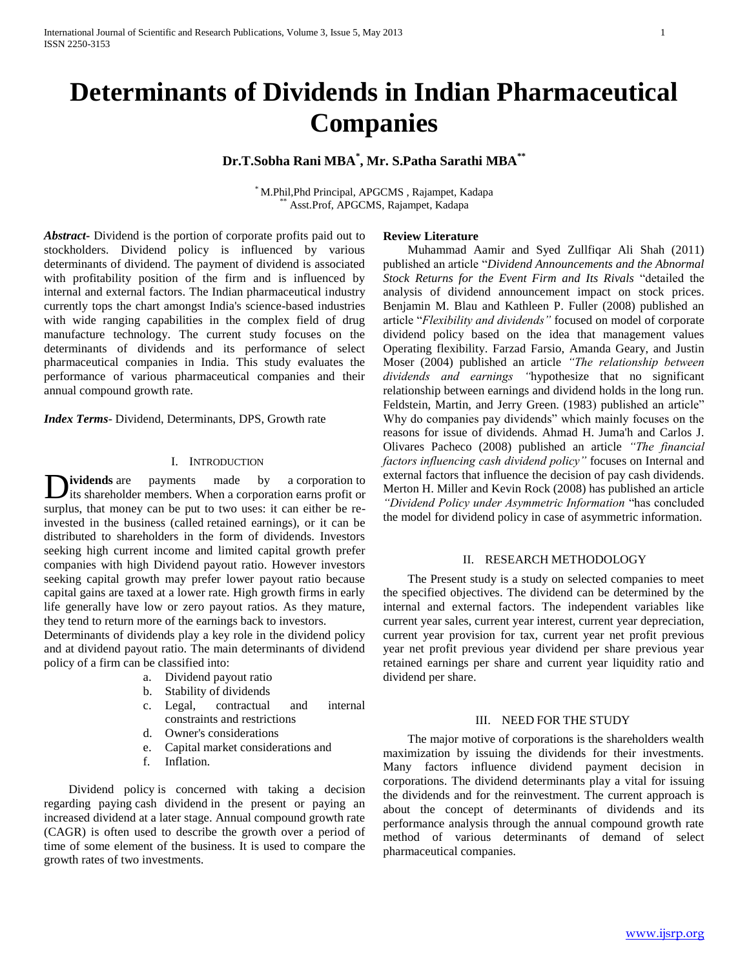# **Determinants of Dividends in Indian Pharmaceutical Companies**

# **Dr.T.Sobha Rani MBA\* , Mr. S.Patha Sarathi MBA\*\***

\* M.Phil,Phd Principal, APGCMS , Rajampet, Kadapa Asst.Prof, APGCMS, Rajampet, Kadapa

*Abstract***-** Dividend is the portion of corporate profits paid out to stockholders. Dividend policy is influenced by various determinants of dividend. The payment of dividend is associated with profitability position of the firm and is influenced by internal and external factors. The Indian pharmaceutical industry currently tops the chart amongst India's science-based industries with wide ranging capabilities in the complex field of drug manufacture technology. The current study focuses on the determinants of dividends and its performance of select pharmaceutical companies in India. This study evaluates the performance of various pharmaceutical companies and their annual compound growth rate.

*Index Terms*- Dividend, Determinants, DPS, Growth rate

#### I. INTRODUCTION

*ividends* are payments made by a corporation to Dividends are payments made by a corporation to its shareholder members. When a corporation earns profit or surplus, that money can be put to two uses: it can either be reinvested in the business (called retained earnings), or it can be distributed to shareholders in the form of dividends. Investors seeking high current income and limited capital growth prefer companies with high Dividend payout ratio. However investors seeking capital growth may prefer lower payout ratio because capital gains are taxed at a lower rate. High growth firms in early life generally have low or zero payout ratios. As they mature, they tend to return more of the earnings back to investors.

Determinants of dividends play a key role in the dividend policy and at dividend payout ratio. The main determinants of dividend policy of a firm can be classified into:

- a. Dividend payout ratio
- b. Stability of dividends
- c. Legal, contractual and internal constraints and restrictions
- d. Owner's considerations
- e. Capital market considerations and
- f. Inflation.

 Dividend policy is concerned with taking a decision regarding paying cash dividend in the present or paying an increased dividend at a later stage. Annual compound growth rate (CAGR) is often used to describe the growth over a period of time of some element of the business. It is used to compare the growth rates of two investments.

#### **Review Literature**

 Muhammad Aamir and Syed Zullfiqar Ali Shah (2011) published an article "*Dividend Announcements and the Abnormal Stock Returns for the Event Firm and Its Rivals* "detailed the analysis of dividend announcement impact on stock prices. Benjamin M. Blau and Kathleen P. Fuller (2008) published an article "*Flexibility and dividends"* focused on model of corporate dividend policy based on the idea that management values Operating flexibility. Farzad Farsio, Amanda Geary, and Justin Moser (2004) published an article *"The relationship between dividends and earnings "*hypothesize that no significant relationship between earnings and dividend holds in the long run. Feldstein, Martin, and Jerry Green. (1983) published an article" Why do companies pay dividends" which mainly focuses on the reasons for issue of dividends. Ahmad H. Juma'h and Carlos J. Olivares Pacheco (2008) published an article *"The financial factors influencing cash dividend policy"* focuses on Internal and external factors that influence the decision of pay cash dividends*.*  Merton H. Miller and Kevin Rock (2008) has published an article *"Dividend Policy under Asymmetric Information* "has concluded the model for dividend policy in case of asymmetric information.

## II. RESEARCH METHODOLOGY

 The Present study is a study on selected companies to meet the specified objectives. The dividend can be determined by the internal and external factors. The independent variables like current year sales, current year interest, current year depreciation, current year provision for tax, current year net profit previous year net profit previous year dividend per share previous year retained earnings per share and current year liquidity ratio and dividend per share.

#### III. NEED FOR THE STUDY

 The major motive of corporations is the shareholders wealth maximization by issuing the dividends for their investments. Many factors influence dividend payment decision in corporations. The dividend determinants play a vital for issuing the dividends and for the reinvestment. The current approach is about the concept of determinants of dividends and its performance analysis through the annual compound growth rate method of various determinants of demand of select pharmaceutical companies.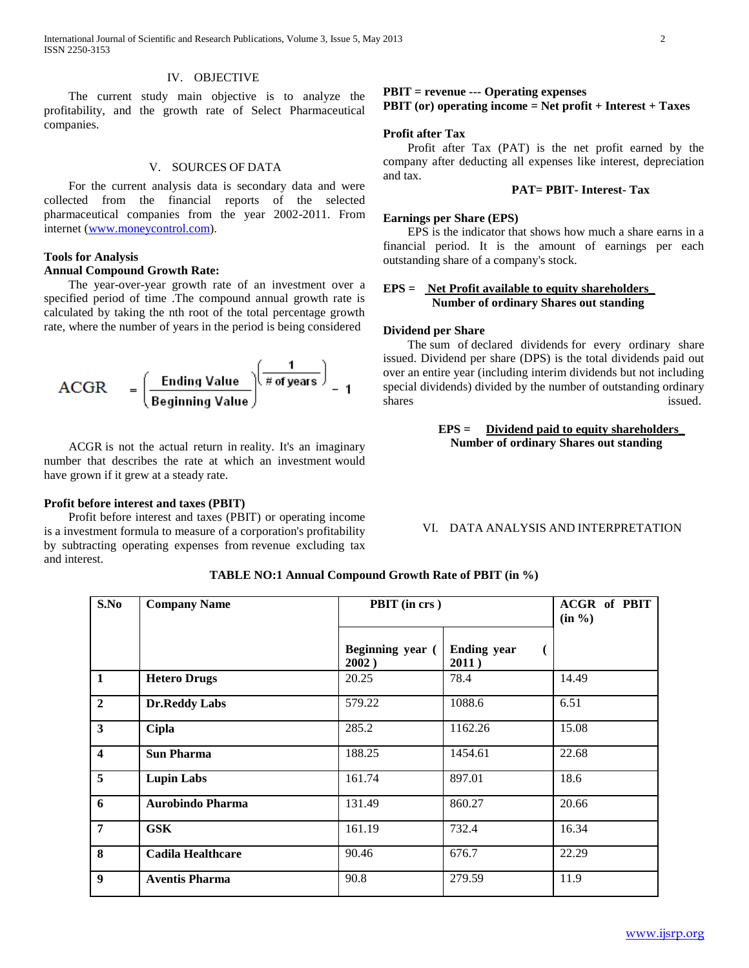#### IV. OBJECTIVE

 The current study main objective is to analyze the profitability, and the growth rate of Select Pharmaceutical companies.

#### V. SOURCES OF DATA

 For the current analysis data is secondary data and were collected from the financial reports of the selected pharmaceutical companies from the year 2002-2011. From internet [\(www.moneycontrol.com\)](http://www.moneycontrol.com/).

#### **Tools for Analysis Annual Compound Growth Rate:**

 The year-over-year growth rate of an investment over a specified period of time .The compound annual growth rate is calculated by taking the nth root of the total percentage growth rate, where the number of years in the period is being considered

$$
ACGR = \left(\frac{\text{Ending Value}}{\text{Beginning Value}}\right)\left(\frac{1}{\text{\# of years}}\right) = 1
$$

 ACGR is not the actual return in reality. It's an imaginary number that describes the rate at which an investment would have grown if it grew at a steady rate.

#### **Profit before interest and taxes (PBIT)**

 Profit before interest and taxes (PBIT) or operating income is a investment formula to measure of a corporation's profitability by subtracting operating expenses from revenue excluding tax and interest.

# **PBIT = revenue --- Operating expenses**

# **PBIT (or) operating income = Net profit + Interest + Taxes**

# **Profit after Tax**

 Profit after Tax (PAT) is the net profit earned by the company after deducting all expenses like interest, depreciation and tax.

#### **PAT= PBIT- Interest- Tax**

#### **Earnings per Share (EPS)**

 EPS is the indicator that shows how much a share earns in a financial period. It is the amount of earnings per each outstanding share of a company's stock.

## **EPS = Net Profit available to equity shareholders\_ Number of ordinary Shares out standing**

#### **Dividend per Share**

 The sum of declared dividends for every ordinary share issued. Dividend per share (DPS) is the total dividends paid out over an entire year (including interim dividends but not including special dividends) divided by the number of outstanding ordinary shares issued.

> **EPS = Dividend paid to equity shareholders\_ Number of ordinary Shares out standing**

VI. DATA ANALYSIS AND INTERPRETATION

| S.No                    | <b>Company Name</b>      | PBIT (in crs)             |                             | <b>ACGR</b> of PBIT<br>(in %) |
|-------------------------|--------------------------|---------------------------|-----------------------------|-------------------------------|
|                         |                          | Beginning year (<br>2002) | <b>Ending year</b><br>2011) |                               |
| $\mathbf{1}$            | <b>Hetero Drugs</b>      | 20.25                     | 78.4                        | 14.49                         |
| $\overline{2}$          | <b>Dr.Reddy Labs</b>     | 579.22                    | 1088.6                      | 6.51                          |
| $\overline{\mathbf{3}}$ | <b>Cipla</b>             | 285.2                     | 1162.26                     | 15.08                         |
| $\overline{\mathbf{4}}$ | <b>Sun Pharma</b>        | 188.25                    | 1454.61                     | 22.68                         |
| 5                       | <b>Lupin Labs</b>        | 161.74                    | 897.01                      | 18.6                          |
| 6                       | <b>Aurobindo Pharma</b>  | 131.49                    | 860.27                      | 20.66                         |
| $\overline{7}$          | <b>GSK</b>               | 161.19                    | 732.4                       | 16.34                         |
| 8                       | <b>Cadila Healthcare</b> | 90.46                     | 676.7                       | 22.29                         |
| $\boldsymbol{9}$        | <b>Aventis Pharma</b>    | 90.8                      | 279.59                      | 11.9                          |

**TABLE NO:1 Annual Compound Growth Rate of PBIT (in %)**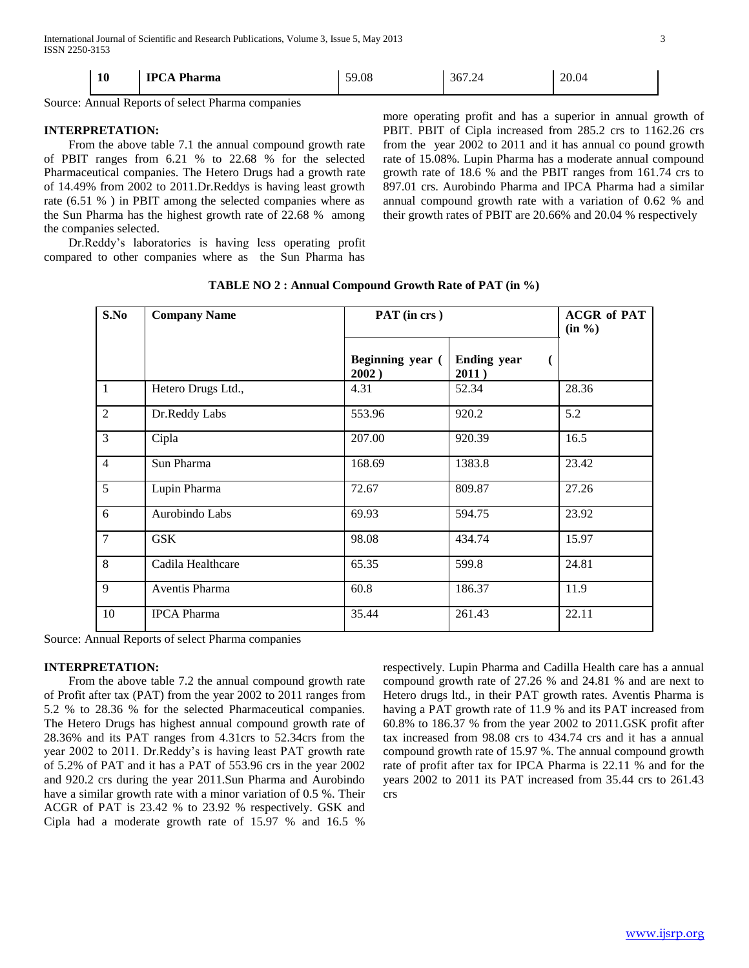| 10 | <b>IPCA Pharma</b> | 59.08 | 367.24 | 20.04 |
|----|--------------------|-------|--------|-------|

Source: Annual Reports of select Pharma companies

#### **INTERPRETATION:**

 From the above table 7.1 the annual compound growth rate of PBIT ranges from 6.21 % to 22.68 % for the selected Pharmaceutical companies. The Hetero Drugs had a growth rate of 14.49% from 2002 to 2011.Dr.Reddys is having least growth rate (6.51 % ) in PBIT among the selected companies where as the Sun Pharma has the highest growth rate of 22.68 % among the companies selected.

 Dr.Reddy's laboratories is having less operating profit compared to other companies where as the Sun Pharma has

more operating profit and has a superior in annual growth of PBIT. PBIT of Cipla increased from 285.2 crs to 1162.26 crs from the year 2002 to 2011 and it has annual co pound growth rate of 15.08%. Lupin Pharma has a moderate annual compound growth rate of 18.6 % and the PBIT ranges from 161.74 crs to 897.01 crs. Aurobindo Pharma and IPCA Pharma had a similar annual compound growth rate with a variation of 0.62 % and their growth rates of PBIT are 20.66% and 20.04 % respectively

| S.No           | <b>Company Name</b> | PAT (in crs)              |                             | <b>ACGR of PAT</b><br>$(in \%)$ |
|----------------|---------------------|---------------------------|-----------------------------|---------------------------------|
|                |                     | Beginning year (<br>2002) | <b>Ending year</b><br>2011) |                                 |
| $\mathbf{1}$   | Hetero Drugs Ltd.,  | 4.31                      | 52.34                       | 28.36                           |
| $\overline{2}$ | Dr.Reddy Labs       | 553.96                    | 920.2                       | 5.2                             |
| 3              | Cipla               | 207.00                    | 920.39                      | 16.5                            |
| $\overline{4}$ | Sun Pharma          | 168.69                    | 1383.8                      | 23.42                           |
| 5              | Lupin Pharma        | 72.67                     | 809.87                      | 27.26                           |
| 6              | Aurobindo Labs      | 69.93                     | 594.75                      | 23.92                           |
| $\overline{7}$ | <b>GSK</b>          | 98.08                     | 434.74                      | 15.97                           |
| 8              | Cadila Healthcare   | 65.35                     | 599.8                       | 24.81                           |
| 9              | Aventis Pharma      | 60.8                      | 186.37                      | 11.9                            |
| 10             | <b>IPCA</b> Pharma  | 35.44                     | 261.43                      | 22.11                           |

**TABLE NO 2 : Annual Compound Growth Rate of PAT (in %)**

Source: Annual Reports of select Pharma companies

#### **INTERPRETATION:**

 From the above table 7.2 the annual compound growth rate of Profit after tax (PAT) from the year 2002 to 2011 ranges from 5.2 % to 28.36 % for the selected Pharmaceutical companies. The Hetero Drugs has highest annual compound growth rate of 28.36% and its PAT ranges from 4.31crs to 52.34crs from the year 2002 to 2011. Dr.Reddy's is having least PAT growth rate of 5.2% of PAT and it has a PAT of 553.96 crs in the year 2002 and 920.2 crs during the year 2011.Sun Pharma and Aurobindo have a similar growth rate with a minor variation of 0.5 %. Their ACGR of PAT is 23.42 % to 23.92 % respectively. GSK and Cipla had a moderate growth rate of 15.97 % and 16.5 %

respectively. Lupin Pharma and Cadilla Health care has a annual compound growth rate of 27.26 % and 24.81 % and are next to Hetero drugs ltd., in their PAT growth rates. Aventis Pharma is having a PAT growth rate of 11.9 % and its PAT increased from 60.8% to 186.37 % from the year 2002 to 2011.GSK profit after tax increased from 98.08 crs to 434.74 crs and it has a annual compound growth rate of 15.97 %. The annual compound growth rate of profit after tax for IPCA Pharma is 22.11 % and for the years 2002 to 2011 its PAT increased from 35.44 crs to 261.43 crs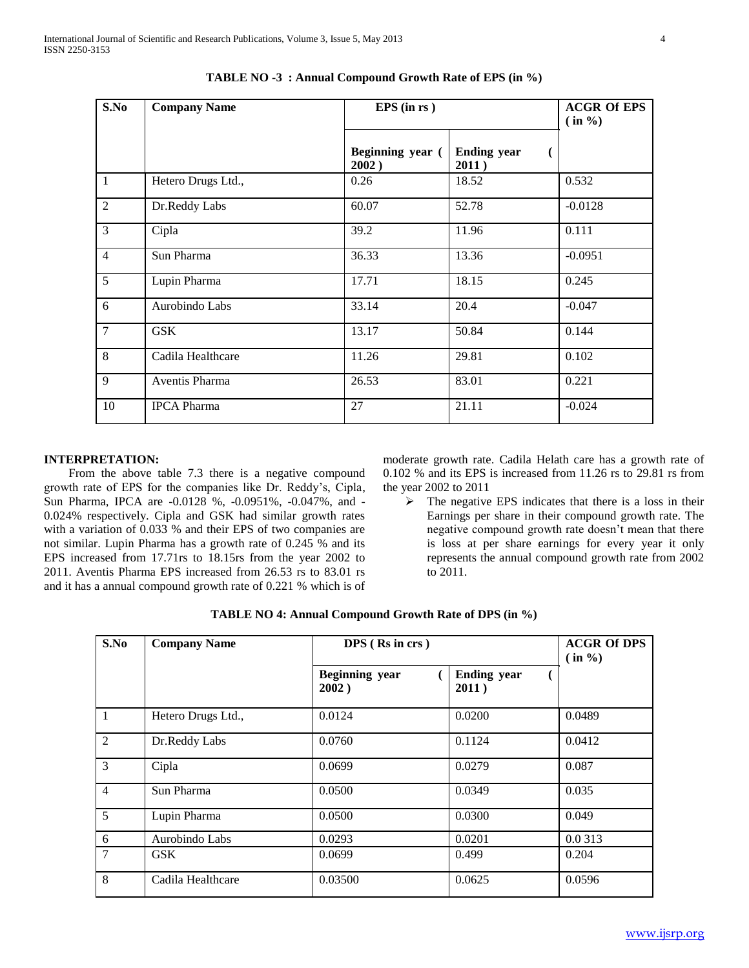| S.No           | <b>Company Name</b> | $EPS$ (in rs)             |                             | <b>ACGR Of EPS</b><br>$(in \%)$ |
|----------------|---------------------|---------------------------|-----------------------------|---------------------------------|
|                |                     | Beginning year (<br>2002) | <b>Ending year</b><br>2011) |                                 |
| $\mathbf{1}$   | Hetero Drugs Ltd.,  | 0.26                      | 18.52                       | 0.532                           |
| $\overline{2}$ | Dr.Reddy Labs       | 60.07                     | 52.78                       | $-0.0128$                       |
| $\overline{3}$ | Cipla               | 39.2                      | 11.96                       | 0.111                           |
| $\overline{4}$ | Sun Pharma          | 36.33                     | 13.36                       | $-0.0951$                       |
| $\overline{5}$ | Lupin Pharma        | 17.71                     | 18.15                       | 0.245                           |
| 6              | Aurobindo Labs      | 33.14                     | 20.4                        | $-0.047$                        |
| $\overline{7}$ | <b>GSK</b>          | 13.17                     | 50.84                       | 0.144                           |
| $\overline{8}$ | Cadila Healthcare   | 11.26                     | 29.81                       | 0.102                           |
| 9              | Aventis Pharma      | 26.53                     | 83.01                       | 0.221                           |
| 10             | <b>IPCA Pharma</b>  | 27                        | 21.11                       | $-0.024$                        |

**TABLE NO -3 : Annual Compound Growth Rate of EPS (in %)**

# **INTERPRETATION:**

 From the above table 7.3 there is a negative compound growth rate of EPS for the companies like Dr. Reddy's, Cipla, Sun Pharma, IPCA are -0.0128 %, -0.0951%, -0.047%, and - 0.024% respectively. Cipla and GSK had similar growth rates with a variation of 0.033 % and their EPS of two companies are not similar. Lupin Pharma has a growth rate of 0.245 % and its EPS increased from 17.71rs to 18.15rs from the year 2002 to 2011. Aventis Pharma EPS increased from 26.53 rs to 83.01 rs and it has a annual compound growth rate of 0.221 % which is of moderate growth rate. Cadila Helath care has a growth rate of 0.102 % and its EPS is increased from 11.26 rs to 29.81 rs from the year 2002 to 2011

 $\triangleright$  The negative EPS indicates that there is a loss in their Earnings per share in their compound growth rate. The negative compound growth rate doesn't mean that there is loss at per share earnings for every year it only represents the annual compound growth rate from 2002 to 2011.

| TABLE NO 4: Annual Compound Growth Rate of DPS (in %) |  |  |  |
|-------------------------------------------------------|--|--|--|
|-------------------------------------------------------|--|--|--|

| S.No           | <b>Company Name</b> | DPS (Rs in crs)                | <b>ACGR Of DPS</b><br>$\sin \frac{\theta}{\theta}$ |         |
|----------------|---------------------|--------------------------------|----------------------------------------------------|---------|
|                |                     | <b>Beginning</b> year<br>2002) | <b>Ending year</b><br>2011)                        |         |
| 1              | Hetero Drugs Ltd.,  | 0.0124                         | 0.0200                                             | 0.0489  |
| $\overline{2}$ | Dr.Reddy Labs       | 0.0760                         | 0.1124                                             | 0.0412  |
| 3              | Cipla               | 0.0699                         | 0.0279                                             | 0.087   |
| 4              | Sun Pharma          | 0.0500                         | 0.0349                                             | 0.035   |
| 5              | Lupin Pharma        | 0.0500                         | 0.0300                                             | 0.049   |
| 6              | Aurobindo Labs      | 0.0293                         | 0.0201                                             | 0.0 313 |
| 7              | <b>GSK</b>          | 0.0699                         | 0.499                                              | 0.204   |
| 8              | Cadila Healthcare   | 0.03500                        | 0.0625                                             | 0.0596  |